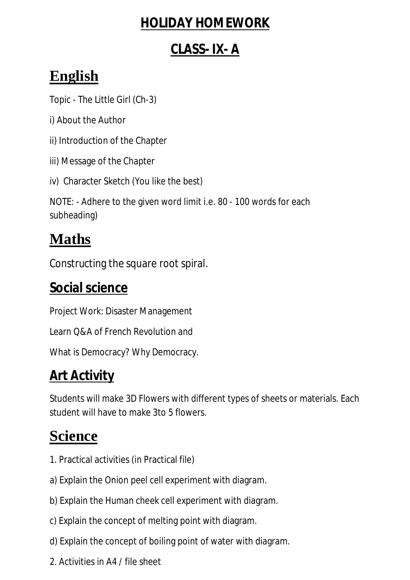#### **HOLIDAY HOMEWORK**

#### **CLASS- IX- A**

## **English**

Topic - The Little Girl (Ch-3)

i) About the Author

ii) Introduction of the Chapter

iii) Message of the Chapter

iv) Character Sketch (You like the best)

NOTE: - Adhere to the given word limit i.e. 80 - 100 words for each subheading)

# **Maths**

Constructing the square root spiral.

#### **Social science**

Project Work: Disaster Management

Learn Q&A of French Revolution and

What is Democracy? Why Democracy.

## **Art Activity**

Students will make 3D Flowers with different types of sheets or materials. Each student will have to make 3to 5 flowers.

# **Science**

- 1. Practical activities (in Practical file)
- a) Explain the Onion peel cell experiment with diagram.
- b) Explain the Human cheek cell experiment with diagram.
- c) Explain the concept of melting point with diagram.
- d) Explain the concept of boiling point of water with diagram.
- 2. Activities in A4 / file sheet